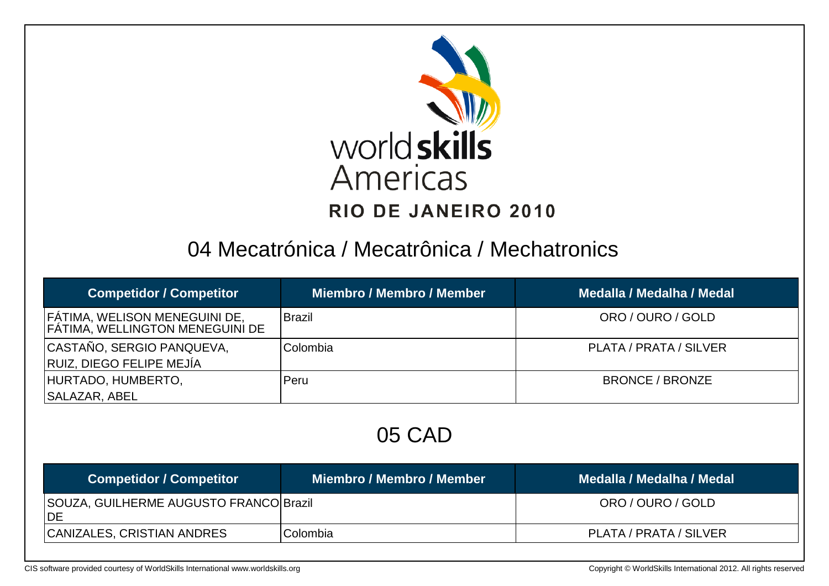

### 04 Mecatrónica / Mecatrônica / Mechatronics

| <b>Competidor / Competitor</b>                                                 | <b>Miembro / Membro / Member</b> | Medalla / Medalha / Medal |
|--------------------------------------------------------------------------------|----------------------------------|---------------------------|
| <b>FATIMA, WELISON MENEGUINI DE,</b><br><b>FATIMA, WELLINGTON MENEGUINI DE</b> | <b>Brazil</b>                    | ORO / OURO / GOLD         |
| CASTAÑO, SERGIO PANQUEVA,<br><b>RUIZ, DIEGO FELIPE MEJÍA</b>                   | Colombia                         | PLATA / PRATA / SILVER    |
| HURTADO, HUMBERTO,<br><b>SALAZAR, ABEL</b>                                     | Peru                             | <b>BRONCE / BRONZE</b>    |

05 CAD

| <b>Competidor / Competitor</b>                      | Miembro / Membro / Member | Medalla / Medalha / Medal |
|-----------------------------------------------------|---------------------------|---------------------------|
| SOUZA, GUILHERME AUGUSTO FRANCO Brazil<br><b>DE</b> |                           | ORO / OURO / GOLD         |
| CANIZALES, CRISTIAN ANDRES                          | <b>Colombia</b>           | PLATA / PRATA / SILVER    |

[CIS software provided courtesy of WorldSkills International www.worldskills.org](http://www.worldskills.org/) Copyright © WorldSkills International 2012. All rights reserved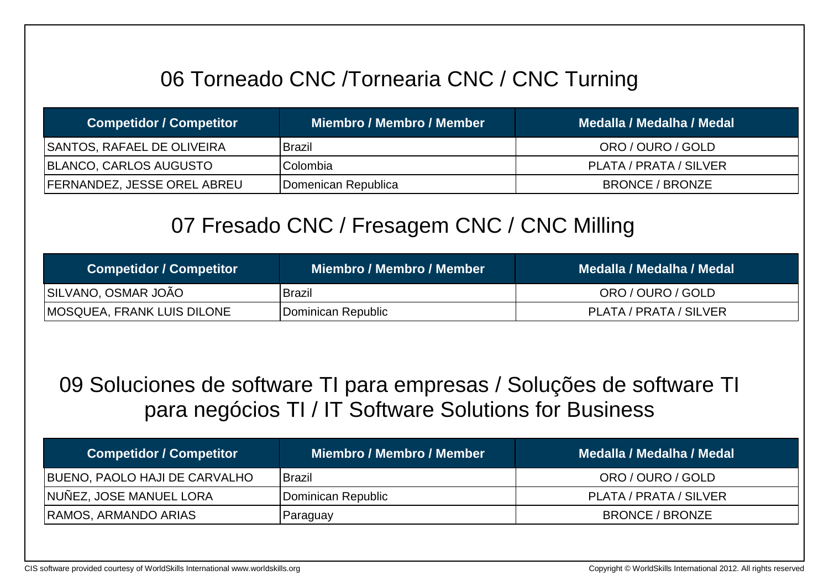## 06 Torneado CNC /Tornearia CNC / CNC Turning

| <b>Competidor / Competitor</b>     | Miembro / Membro / Member | Medalla / Medalha / Medal |
|------------------------------------|---------------------------|---------------------------|
| <b>SANTOS, RAFAEL DE OLIVEIRA</b>  | <b>Brazil</b>             | ORO / OURO / GOLD         |
| BLANCO, CARLOS AUGUSTO             | Colombia                  | PLATA / PRATA / SILVER    |
| <b>FERNANDEZ, JESSE OREL ABREU</b> | Domenican Republica       | <b>BRONCE / BRONZE</b>    |

### 07 Fresado CNC / Fresagem CNC / CNC Milling

| <b>Competidor / Competitor</b>     | Miembro / Membro / Member | Medalla / Medalha / Medal |
|------------------------------------|---------------------------|---------------------------|
| SILVANO, OSMAR JOÃO                | <b>Brazil</b>             | ORO / OURO / GOLD         |
| <b>IMOSQUEA, FRANK LUIS DILONE</b> | Dominican Republic        | PLATA / PRATA / SILVER    |

09 Soluciones de software TI para empresas / Soluções de software TI para negócios TI / IT Software Solutions for Business

| <b>Competidor / Competitor</b> | Miembro / Membro / Member | Medalla / Medalha / Medal |
|--------------------------------|---------------------------|---------------------------|
| BUENO, PAOLO HAJI DE CARVALHO  | <b>IBrazil</b>            | ORO / OURO / GOLD         |
| NUÑEZ, JOSE MANUEL LORA        | Dominican Republic        | PLATA / PRATA / SILVER    |
| <b>RAMOS, ARMANDO ARIAS</b>    | Paraguay                  | BRONCE / BRONZE           |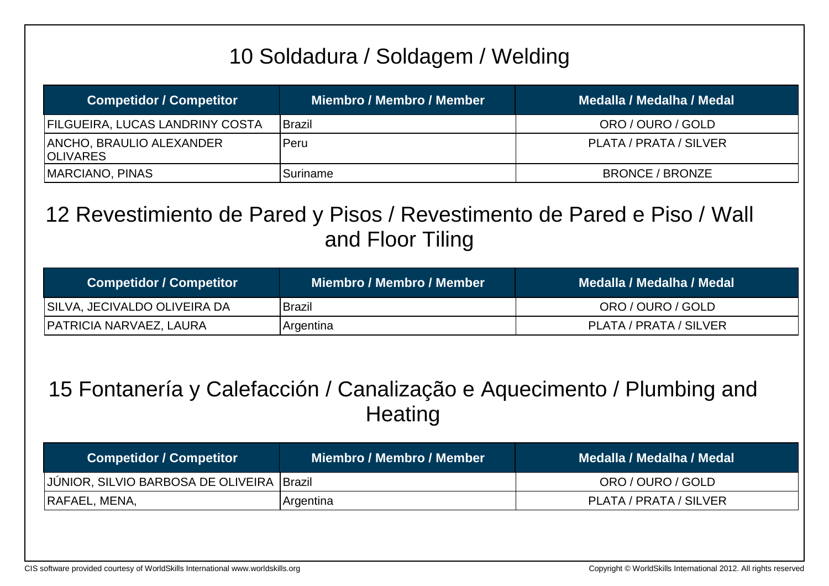# 10 Soldadura / Soldagem / Welding

| <b>Competidor / Competitor</b>               | <b>Miembro / Membro / Member</b> | Medalla / Medalha / Medal |
|----------------------------------------------|----------------------------------|---------------------------|
| <b>FILGUEIRA, LUCAS LANDRINY COSTA</b>       | Brazil                           | ORO / OURO / GOLD         |
| ANCHO, BRAULIO ALEXANDER<br><b>IOLIVARES</b> | <b>Peru</b>                      | PLATA / PRATA / SILVER    |
| MARCIANO, PINAS                              | Suriname                         | <b>BRONCE / BRONZE</b>    |

### 12 Revestimiento de Pared y Pisos / Revestimento de Pared e Piso / Wall and Floor Tiling

| <b>Competidor / Competitor</b> | Miembro / Membro / Member | Medalla / Medalha / Medal \ |
|--------------------------------|---------------------------|-----------------------------|
| SILVA, JECIVALDO OLIVEIRA DA   | Brazil                    | ORO / OURO / GOLD           |
| <b>PATRICIA NARVAEZ, LAURA</b> | Argentina                 | PLATA / PRATA / SILVER      |

### 15 Fontanería y Calefacción / Canalização e Aquecimento / Plumbing and **Heating**

| <b>Competidor / Competitor</b>             | Miembro / Membro / Member | Medalla / Medalha / Medal |
|--------------------------------------------|---------------------------|---------------------------|
| JJÚNIOR, SILVIO BARBOSA DE OLIVEIRA Brazil |                           | ORO / OURO / GOLD         |
| RAFAEL, MENA,                              | Argentina                 | PLATA / PRATA / SILVER    |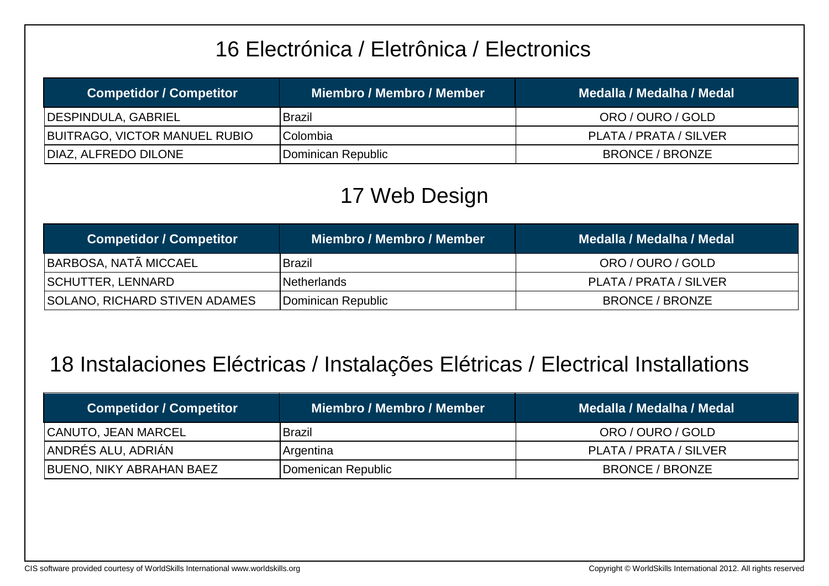## 16 Electrónica / Eletrônica / Electronics

| <b>Competidor / Competitor</b> | Miembro / Membro / Member | Medalla / Medalha / Medal |
|--------------------------------|---------------------------|---------------------------|
| <b>IDESPINDULA, GABRIEL</b>    | Brazil                    | ORO / OURO / GOLD         |
| BUITRAGO, VICTOR MANUEL RUBIO  | Colombia                  | PLATA / PRATA / SILVER    |
| DIAZ, ALFREDO DILONE           | Dominican Republic        | BRONCE / BRONZE           |

## 17 Web Design

| <b>Competidor / Competitor</b> | Miembro / Membro / Member | Medalla / Medalha / Medal |
|--------------------------------|---------------------------|---------------------------|
| BARBOSA, NATÃ MICCAEL          | <b>Brazil</b>             | ORO / OURO / GOLD         |
| <b>SCHUTTER, LENNARD</b>       | <b>INetherlands</b>       | PLATA / PRATA / SILVER    |
| SOLANO, RICHARD STIVEN ADAMES  | Dominican Republic        | BRONCE / BRONZE           |

## 18 Instalaciones Eléctricas / Instalações Elétricas / Electrical Installations

| <b>Competidor / Competitor</b> | Miembro / Membro / Member | Medalla / Medalha / Medal |
|--------------------------------|---------------------------|---------------------------|
| <b>CANUTO, JEAN MARCEL</b>     | <b>Brazil</b>             | ORO / OURO / GOLD         |
| ANDRÉS ALU, ADRIAN             | Argentina                 | PLATA / PRATA / SILVER    |
| BUENO, NIKY ABRAHAN BAEZ       | Domenican Republic        | BRONCE / BRONZE           |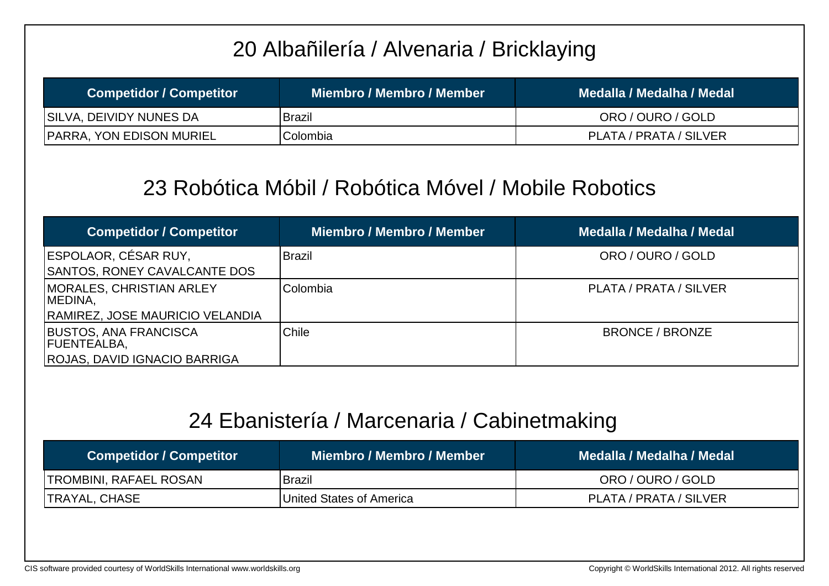## 20 Albañilería / Alvenaria / Bricklaying

| <b>Competidor / Competitor</b>  | Miembro / Membro / Member | Medalla / Medalha / Medal |
|---------------------------------|---------------------------|---------------------------|
| SILVA, DEIVIDY NUNES DA         | Brazil                    | ORO / OURO / GOLD         |
| <b>PARRA, YON EDISON MURIEL</b> | Colombia                  | PLATA / PRATA / SILVER    |

#### 23 Robótica Móbil / Robótica Móvel / Mobile Robotics

| <b>Competidor / Competitor</b>                     | Miembro / Membro / Member | Medalla / Medalha / Medal |
|----------------------------------------------------|---------------------------|---------------------------|
| ESPOLAOR, CÉSAR RUY,                               | <b>Brazil</b>             | ORO / OURO / GOLD         |
| <b>SANTOS, RONEY CAVALCANTE DOS</b>                |                           |                           |
| <b>MORALES, CHRISTIAN ARLEY</b><br>MEDINA,         | <b>Colombia</b>           | PLATA / PRATA / SILVER    |
| <b>RAMIREZ, JOSE MAURICIO VELANDIA</b>             |                           |                           |
| <b>BUSTOS, ANA FRANCISCA</b><br><b>FUENTEALBA,</b> | Chile                     | <b>BRONCE / BRONZE</b>    |
| <b>ROJAS, DAVID IGNACIO BARRIGA</b>                |                           |                           |

#### 24 Ebanistería / Marcenaria / Cabinetmaking

| <b>Competidor / Competitor</b> | Miembro / Membro / Member        | Medalla / Medalha / Medal |
|--------------------------------|----------------------------------|---------------------------|
| <b>TROMBINI, RAFAEL ROSAN</b>  | <b>Brazil</b>                    | ORO / OURO / GOLD         |
| <b>TRAYAL, CHASE</b>           | <b>IUnited States of America</b> | PLATA / PRATA / SILVER    |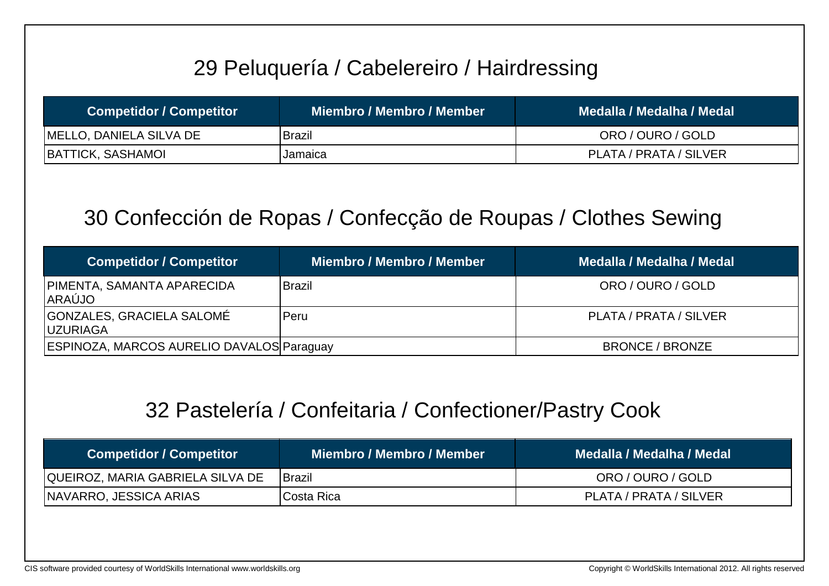## 29 Peluquería / Cabelereiro / Hairdressing

| <b>Competidor / Competitor</b> | Miembro / Membro / Member | Medalla / Medalha / Medal |
|--------------------------------|---------------------------|---------------------------|
| MELLO, DANIELA SILVA DE        | Brazil                    | ORO / OURO / GOLD         |
| <b>BATTICK, SASHAMOL</b>       | Jamaica                   | PLATA / PRATA / SILVER    |

### 30 Confección de Ropas / Confecção de Roupas / Clothes Sewing

| <b>Competidor / Competitor</b>                | <b>Miembro / Membro / Member</b> | Medalla / Medalha / Medal |
|-----------------------------------------------|----------------------------------|---------------------------|
| PIMENTA, SAMANTA APARECIDA<br><b>ARAÚJO</b>   | <b>Brazil</b>                    | ORO / OURO / GOLD         |
| GONZALES, GRACIELA SALOMÉ<br><b>IUZURIAGA</b> | Peru                             | PLATA / PRATA / SILVER    |
| ESPINOZA, MARCOS AURELIO DAVALOS Paraguay     |                                  | <b>BRONCE / BRONZE</b>    |

#### 32 Pastelería / Confeitaria / Confectioner/Pastry Cook

| <b>Competidor / Competitor</b>   | Miembro / Membro / Member \ | Medalla / Medalha / Medal |
|----------------------------------|-----------------------------|---------------------------|
| QUEIROZ, MARIA GABRIELA SILVA DE | <b>IBrazil</b>              | ORO / OURO / GOLD         |
| <b>NAVARRO, JESSICA ARIAS</b>    | Costa Rica                  | PLATA / PRATA / SILVER    |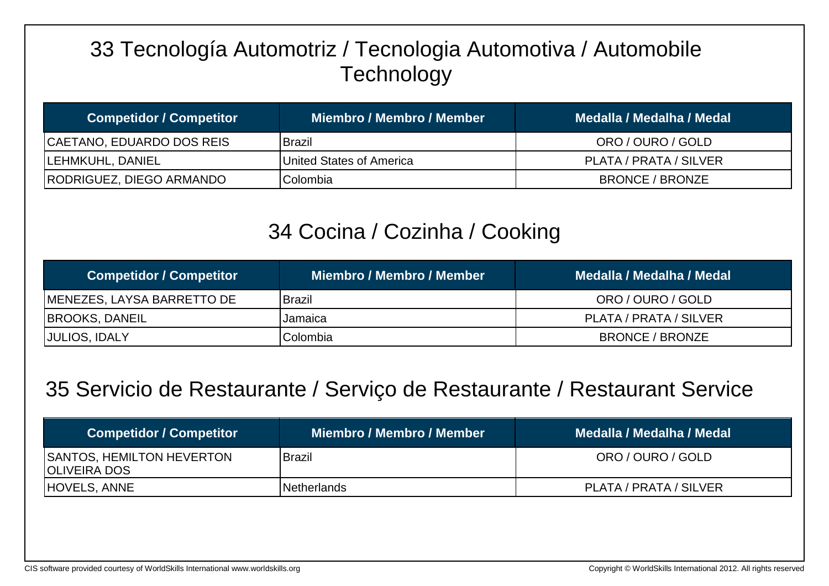## 33 Tecnología Automotriz / Tecnologia Automotiva / Automobile **Technology**

| <b>Competidor / Competitor</b> | Miembro / Membro / Member ˈ      | Medalla / Medalha / Medal |
|--------------------------------|----------------------------------|---------------------------|
| CAETANO, EDUARDO DOS REIS      | <b>Brazil</b>                    | ORO / OURO / GOLD         |
| <b>LEHMKUHL, DANIEL</b>        | <b>IUnited States of America</b> | PLATA / PRATA / SILVER    |
| RODRIGUEZ, DIEGO ARMANDO       | Colombia                         | <b>BRONCE / BRONZE</b>    |

### 34 Cocina / Cozinha / Cooking

| <b>Competidor / Competitor</b>     | Miembro / Membro / Member | Medalla / Medalha / Medal |
|------------------------------------|---------------------------|---------------------------|
| <b>IMENEZES, LAYSA BARRETTO DE</b> | Brazil                    | ORO / OURO / GOLD         |
| <b>BROOKS, DANEIL</b>              | Jamaica                   | PLATA / PRATA / SILVER    |
| JULIOS, IDALY                      | Colombia                  | <b>BRONCE / BRONZE</b>    |

#### 35 Servicio de Restaurante / Serviço de Restaurante / Restaurant Service

| <b>Competidor / Competitor</b>                           | Miembro / Membro / Member | Medalla / Medalha / Medal |
|----------------------------------------------------------|---------------------------|---------------------------|
| <b>SANTOS, HEMILTON HEVERTON</b><br><b>IOLIVEIRA DOS</b> | <b>IBrazil</b>            | ORO / OURO / GOLD         |
| HOVELS, ANNE                                             | <b>Netherlands</b>        | PLATA / PRATA / SILVER    |